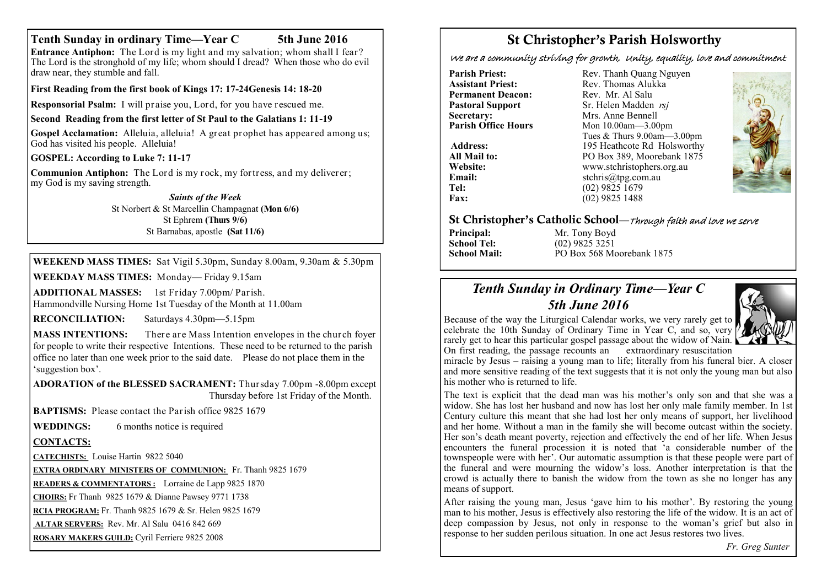## **Tenth Sunday in ordinary Time—Year C 5th June 2016**

**Entrance Antiphon:** The Lord is my light and my salvation; whom shall I fear? The Lord is the stronghold of my life; whom should I dread? When those who do evil draw near, they stumble and fall.

**First Reading from the first book of Kings 17: 17-24Genesis 14: 18-20**

**Responsorial Psalm:** I will praise you, Lord, for you have rescued me.

**Second Reading from the first letter of St Paul to the Galatians 1: 11-19**

**Gospel Acclamation:** Alleluia, alleluia! A great prophet has appeared among us; God has visited his people. Alleluia!

**GOSPEL: According to Luke 7: 11-17**

**Communion Antiphon:** The Lord is my rock, my fortress, and my deliverer; my God is my saving strength.

> *Saints of the Week* St Norbert & St Marcellin Champagnat **(Mon 6/6)** St Ephrem **(Thurs 9/6)** St Barnabas, apostle **(Sat 11/6)**

**WEEKEND MASS TIMES:** Sat Vigil 5.30pm, Sunday 8.00am, 9.30am & 5.30pm

**WEEKDAY MASS TIMES:** Monday— Friday 9.15am

**ADDITIONAL MASSES:** 1st Friday 7.00pm/ Parish. Hammondville Nursing Home 1st Tuesday of the Month at 11.00am

**RECONCILIATION:** Saturdays 4.30pm—5.15pm

**MASS INTENTIONS:** There are Mass Intention envelopes in the church foyer for people to write their respective Intentions. These need to be returned to the parish office no later than one week prior to the said date. Please do not place them in the 'suggestion box'.

**ADORATION of the BLESSED SACRAMENT:** Thursday 7.00pm -8.00pm except Thursday before 1st Friday of the Month.

**BAPTISMS:** Please contact the Parish office 9825 1679

**WEDDINGS:** 6 months notice is required

# **CONTACTS:**

**CATECHISTS:** Louise Hartin 9822 5040

**EXTRA ORDINARY MINISTERS OF COMMUNION:** Fr. Thanh 9825 1679

**READERS & COMMENTATORS :** Lorraine de Lapp 9825 1870

**CHOIRS:** Fr Thanh 9825 1679 & Dianne Pawsey 9771 1738

**RCIA PROGRAM:** Fr. Thanh 9825 1679 & Sr. Helen 9825 1679

**ALTAR SERVERS:** Rev. Mr. Al Salu 0416 842 669

**ROSARY MAKERS GUILD:** Cyril Ferriere 9825 2008

# St Christopher's Parish Holsworthy

We are a community striving for growth, Unity, equality, love and commitment

**Pastoral Support**<br>Secretary: **Secretary:** Mrs. Anne Bennell<br> **Parish Office Hours** Mon 10.00am - 3.00

**Parish Priest:** Rev. Thanh Quang Nguyen<br> **Assistant Priest:** Rev. Thomas Alukka Rev. Thomas Alukka<sup>N</sup><br>Rev. Mr. Al Salu **Permanent Deacon:** Rev. Mr. Al Salu<br> **Pastoral Sunnort** Sr Helen Madden *rsi* **Parish Office Hours** Mon 10.00am—3.00pm Tues & Thurs 9.00am—3.00pm Address: 195 Heathcote Rd Holsworthy **All Mail to:** PO Box 389, Moorebank 1875<br>
Website: www.stchristophers.org.au **Website:** www.stchristophers.org.au<br> **Email:** stchris@tng.com au **Email:** stchris@tpg.com.au<br> **Tel:** (02) 9825 1679 Tel: (02) 9825 1679<br>Fax: (02) 9825 1488 **Fax:** (02) 9825 1488



# St Christopher's Catholic School—Through faith and love we serve

**Principal:** Mr. Tony Boyd<br> **School Tel:** (02) 9825 3251 **School Tel:** (02) 9825 3251<br>**School Mail:** PO Box 568 Me **School Mail:** PO Box 568 Moorebank 1875

# *Tenth Sunday in Ordinary Time—Year C 5th June 2016*



Because of the way the Liturgical Calendar works, we very rarely get to celebrate the 10th Sunday of Ordinary Time in Year C, and so, very rarely get to hear this particular gospel passage about the widow of Nain. On first reading, the passage recounts an extraordinary resuscitation

miracle by Jesus – raising a young man to life; literally from his funeral bier. A closer and more sensitive reading of the text suggests that it is not only the young man but also his mother who is returned to life.

The text is explicit that the dead man was his mother's only son and that she was a widow. She has lost her husband and now has lost her only male family member. In 1st Century culture this meant that she had lost her only means of support, her livelihood and her home. Without a man in the family she will become outcast within the society. Her son's death meant poverty, rejection and effectively the end of her life. When Jesus encounters the funeral procession it is noted that 'a considerable number of the townspeople were with her'. Our automatic assumption is that these people were part of the funeral and were mourning the widow's loss. Another interpretation is that the crowd is actually there to banish the widow from the town as she no longer has any means of support.

After raising the young man, Jesus 'gave him to his mother'. By restoring the young man to his mother, Jesus is effectively also restoring the life of the widow. It is an act of deep compassion by Jesus, not only in response to the woman's grief but also in response to her sudden perilous situation. In one act Jesus restores two lives.

*Fr. Greg Sunter*